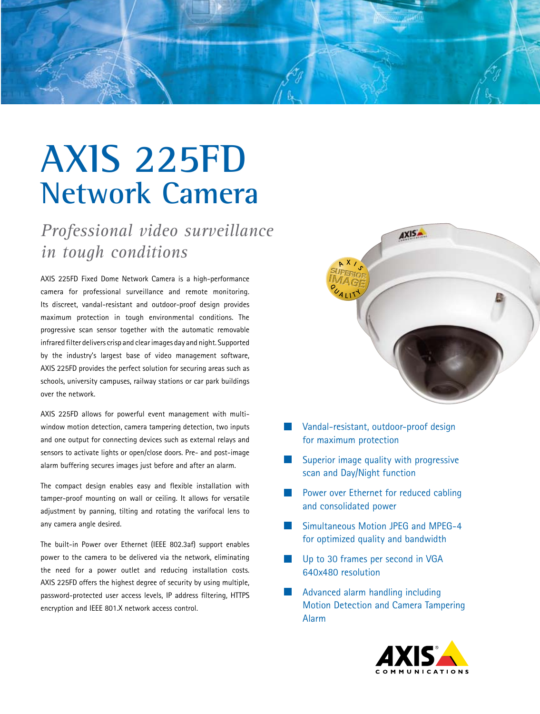

## **AXIS 225FD Network Camera**

*Professional video surveillance in tough conditions*

AXIS 225FD Fixed Dome Network Camera is a high-performance camera for professional surveillance and remote monitoring. Its discreet, vandal-resistant and outdoor-proof design provides maximum protection in tough environmental conditions. The progressive scan sensor together with the automatic removable infrared filter delivers crisp and clear images day and night. Supported by the industry's largest base of video management software, AXIS 225FD provides the perfect solution for securing areas such as schools, university campuses, railway stations or car park buildings over the network.

AXIS 225FD allows for powerful event management with multiwindow motion detection, camera tampering detection, two inputs and one output for connecting devices such as external relays and sensors to activate lights or open/close doors. Pre- and post-image alarm buffering secures images just before and after an alarm.

The compact design enables easy and flexible installation with tamper-proof mounting on wall or ceiling. It allows for versatile adjustment by panning, tilting and rotating the varifocal lens to any camera angle desired.

The built-in Power over Ethernet (IEEE 802.3af) support enables power to the camera to be delivered via the network, eliminating the need for a power outlet and reducing installation costs. AXIS 225FD offers the highest degree of security by using multiple, password-protected user access levels, IP address filtering, HTTPS encryption and IEEE 801.X network access control.



- Vandal-resistant, outdoor-proof design for maximum protection
- Superior image quality with progressive scan and Day/Night function
- Power over Ethernet for reduced cabling and consolidated power
- Simultaneous Motion JPEG and MPEG-4 for optimized quality and bandwidth
- Up to 30 frames per second in VGA 640x480 resolution
- Advanced alarm handling including Motion Detection and Camera Tampering Alarm